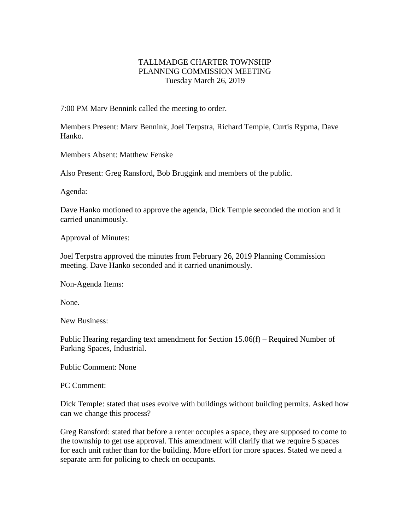## TALLMADGE CHARTER TOWNSHIP PLANNING COMMISSION MEETING Tuesday March 26, 2019

7:00 PM Marv Bennink called the meeting to order.

Members Present: Marv Bennink, Joel Terpstra, Richard Temple, Curtis Rypma, Dave Hanko.

Members Absent: Matthew Fenske

Also Present: Greg Ransford, Bob Bruggink and members of the public.

Agenda:

Dave Hanko motioned to approve the agenda, Dick Temple seconded the motion and it carried unanimously.

Approval of Minutes:

Joel Terpstra approved the minutes from February 26, 2019 Planning Commission meeting. Dave Hanko seconded and it carried unanimously.

Non-Agenda Items:

None.

New Business:

Public Hearing regarding text amendment for Section 15.06(f) – Required Number of Parking Spaces, Industrial.

Public Comment: None

PC Comment:

Dick Temple: stated that uses evolve with buildings without building permits. Asked how can we change this process?

Greg Ransford: stated that before a renter occupies a space, they are supposed to come to the township to get use approval. This amendment will clarify that we require 5 spaces for each unit rather than for the building. More effort for more spaces. Stated we need a separate arm for policing to check on occupants.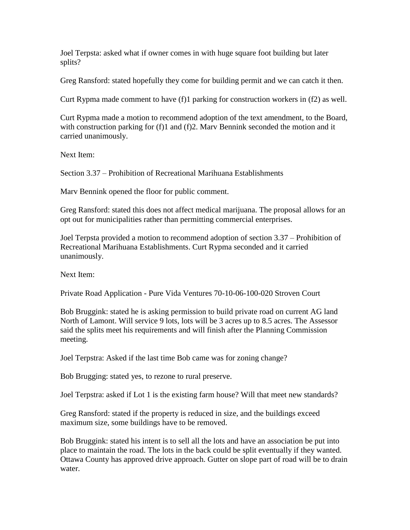Joel Terpsta: asked what if owner comes in with huge square foot building but later splits?

Greg Ransford: stated hopefully they come for building permit and we can catch it then.

Curt Rypma made comment to have (f)1 parking for construction workers in (f2) as well.

Curt Rypma made a motion to recommend adoption of the text amendment, to the Board, with construction parking for (f)1 and (f)2. Mary Bennink seconded the motion and it carried unanimously.

Next Item:

Section 3.37 – Prohibition of Recreational Marihuana Establishments

Marv Bennink opened the floor for public comment.

Greg Ransford: stated this does not affect medical marijuana. The proposal allows for an opt out for municipalities rather than permitting commercial enterprises.

Joel Terpsta provided a motion to recommend adoption of section 3.37 – Prohibition of Recreational Marihuana Establishments. Curt Rypma seconded and it carried unanimously.

Next Item:

Private Road Application - Pure Vida Ventures 70-10-06-100-020 Stroven Court

Bob Bruggink: stated he is asking permission to build private road on current AG land North of Lamont. Will service 9 lots, lots will be 3 acres up to 8.5 acres. The Assessor said the splits meet his requirements and will finish after the Planning Commission meeting.

Joel Terpstra: Asked if the last time Bob came was for zoning change?

Bob Brugging: stated yes, to rezone to rural preserve.

Joel Terpstra: asked if Lot 1 is the existing farm house? Will that meet new standards?

Greg Ransford: stated if the property is reduced in size, and the buildings exceed maximum size, some buildings have to be removed.

Bob Bruggink: stated his intent is to sell all the lots and have an association be put into place to maintain the road. The lots in the back could be split eventually if they wanted. Ottawa County has approved drive approach. Gutter on slope part of road will be to drain water.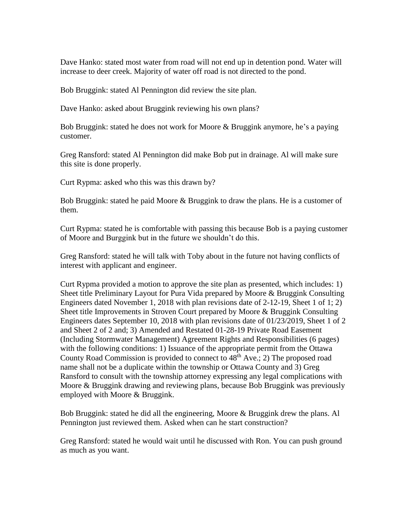Dave Hanko: stated most water from road will not end up in detention pond. Water will increase to deer creek. Majority of water off road is not directed to the pond.

Bob Bruggink: stated Al Pennington did review the site plan.

Dave Hanko: asked about Bruggink reviewing his own plans?

Bob Bruggink: stated he does not work for Moore & Bruggink anymore, he's a paying customer.

Greg Ransford: stated Al Pennington did make Bob put in drainage. Al will make sure this site is done properly.

Curt Rypma: asked who this was this drawn by?

Bob Bruggink: stated he paid Moore & Bruggink to draw the plans. He is a customer of them.

Curt Rypma: stated he is comfortable with passing this because Bob is a paying customer of Moore and Burggink but in the future we shouldn't do this.

Greg Ransford: stated he will talk with Toby about in the future not having conflicts of interest with applicant and engineer.

Curt Rypma provided a motion to approve the site plan as presented, which includes: 1) Sheet title Preliminary Layout for Pura Vida prepared by Moore & Bruggink Consulting Engineers dated November 1, 2018 with plan revisions date of 2-12-19, Sheet 1 of 1; 2) Sheet title Improvements in Stroven Court prepared by Moore & Bruggink Consulting Engineers dates September 10, 2018 with plan revisions date of 01/23/2019, Sheet 1 of 2 and Sheet 2 of 2 and; 3) Amended and Restated 01-28-19 Private Road Easement (Including Stormwater Management) Agreement Rights and Responsibilities (6 pages) with the following conditions: 1) Issuance of the appropriate permit from the Ottawa County Road Commission is provided to connect to  $48<sup>th</sup>$  Ave.; 2) The proposed road name shall not be a duplicate within the township or Ottawa County and 3) Greg Ransford to consult with the township attorney expressing any legal complications with Moore & Bruggink drawing and reviewing plans, because Bob Bruggink was previously employed with Moore & Bruggink.

Bob Bruggink: stated he did all the engineering, Moore & Bruggink drew the plans. Al Pennington just reviewed them. Asked when can he start construction?

Greg Ransford: stated he would wait until he discussed with Ron. You can push ground as much as you want.